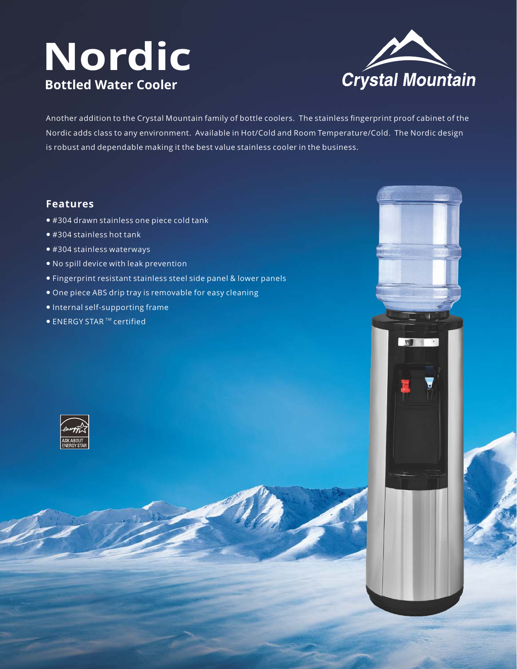# **Nordic Bottled Water Cooler**



 $10<sup>1</sup>$ 

Another addition to the Crystal Mountain family of bottle coolers. The stainless fingerprint proof cabinet of the Nordic adds class to any environment. Available in Hot/Cold and Room Temperature/Cold. The Nordic design is robust and dependable making it the best value stainless cooler in the business.

### **Features**

- #304 drawn stainless one piece cold tank
- #304 stainless hot tank
- #304 stainless waterways
- No spill device with leak prevention
- Fingerprint resistant stainless steel side panel & lower panels
- One piece ABS drip tray is removable for easy cleaning
- Internal self-supporting frame
- $\bullet$  ENERGY STAR  $^{\text{\tiny TM}}$  certified